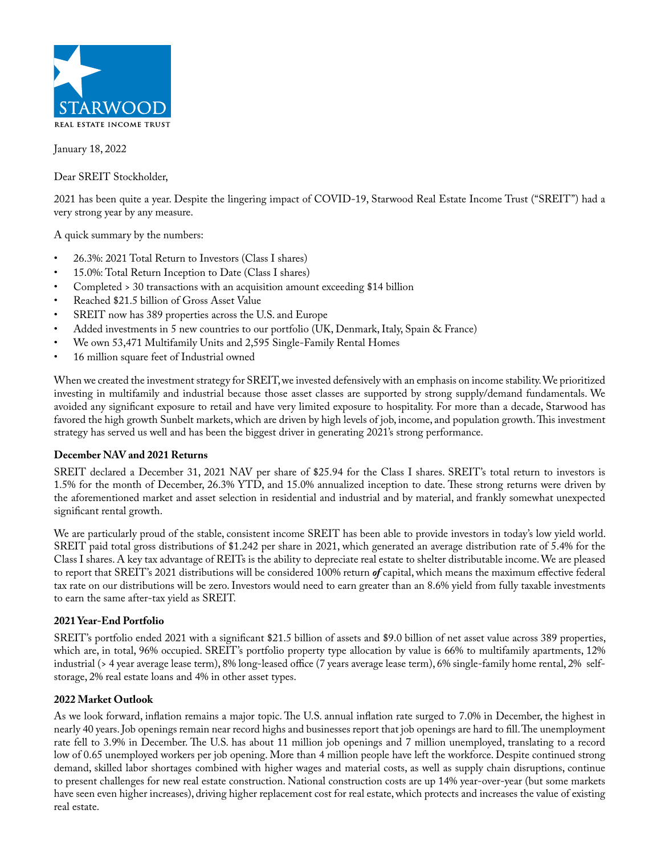

January 18, 2022

Dear SREIT Stockholder,

2021 has been quite a year. Despite the lingering impact of COVID-19, Starwood Real Estate Income Trust ("SREIT") had a very strong year by any measure.

A quick summary by the numbers:

- 26.3%: 2021 Total Return to Investors (Class I shares)
- 15.0%: Total Return Inception to Date (Class I shares)
- Completed > 30 transactions with an acquisition amount exceeding \$14 billion
- Reached \$21.5 billion of Gross Asset Value
- SREIT now has 389 properties across the U.S. and Europe
- Added investments in 5 new countries to our portfolio (UK, Denmark, Italy, Spain & France)
- We own 53,471 Multifamily Units and 2,595 Single-Family Rental Homes
- 16 million square feet of Industrial owned

When we created the investment strategy for SREIT, we invested defensively with an emphasis on income stability. We prioritized investing in multifamily and industrial because those asset classes are supported by strong supply/demand fundamentals. We avoided any significant exposure to retail and have very limited exposure to hospitality. For more than a decade, Starwood has favored the high growth Sunbelt markets, which are driven by high levels of job, income, and population growth. This investment strategy has served us well and has been the biggest driver in generating 2021's strong performance.

## **December NAV and 2021 Returns**

SREIT declared a December 31, 2021 NAV per share of \$25.94 for the Class I shares. SREIT's total return to investors is 1.5% for the month of December, 26.3% YTD, and 15.0% annualized inception to date. These strong returns were driven by the aforementioned market and asset selection in residential and industrial and by material, and frankly somewhat unexpected significant rental growth.

We are particularly proud of the stable, consistent income SREIT has been able to provide investors in today's low yield world. SREIT paid total gross distributions of \$1.242 per share in 2021, which generated an average distribution rate of 5.4% for the Class I shares. A key tax advantage of REITs is the ability to depreciate real estate to shelter distributable income. We are pleased to report that SREIT's 2021 distributions will be considered 100% return *of* capital, which means the maximum effective federal tax rate on our distributions will be zero. Investors would need to earn greater than an 8.6% yield from fully taxable investments to earn the same after-tax yield as SREIT.

## **2021 Year-End Portfolio**

SREIT's portfolio ended 2021 with a significant \$21.5 billion of assets and \$9.0 billion of net asset value across 389 properties, which are, in total, 96% occupied. SREIT's portfolio property type allocation by value is 66% to multifamily apartments, 12% industrial (> 4 year average lease term), 8% long-leased office (7 years average lease term), 6% single-family home rental, 2% selfstorage, 2% real estate loans and 4% in other asset types.

## **2022 Market Outlook**

As we look forward, inflation remains a major topic. The U.S. annual inflation rate surged to 7.0% in December, the highest in nearly 40 years. Job openings remain near record highs and businesses report that job openings are hard to fill. The unemployment rate fell to 3.9% in December. The U.S. has about 11 million job openings and 7 million unemployed, translating to a record low of 0.65 unemployed workers per job opening. More than 4 million people have left the workforce. Despite continued strong demand, skilled labor shortages combined with higher wages and material costs, as well as supply chain disruptions, continue to present challenges for new real estate construction. National construction costs are up 14% year-over-year (but some markets have seen even higher increases), driving higher replacement cost for real estate, which protects and increases the value of existing real estate.